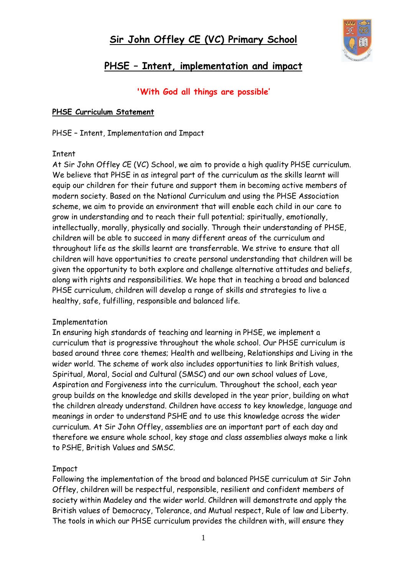

# **PHSE – Intent, implementation and impact**

### **'With God all things are possible'**

#### **PHSE Curriculum Statement**

PHSE – Intent, Implementation and Impact

#### Intent

At Sir John Offley CE (VC) School, we aim to provide a high quality PHSE curriculum. We believe that PHSE in as integral part of the curriculum as the skills learnt will equip our children for their future and support them in becoming active members of modern society. Based on the National Curriculum and using the PHSE Association scheme, we aim to provide an environment that will enable each child in our care to grow in understanding and to reach their full potential; spiritually, emotionally, intellectually, morally, physically and socially. Through their understanding of PHSE, children will be able to succeed in many different areas of the curriculum and throughout life as the skills learnt are transferrable. We strive to ensure that all children will have opportunities to create personal understanding that children will be given the opportunity to both explore and challenge alternative attitudes and beliefs, along with rights and responsibilities. We hope that in teaching a broad and balanced PHSE curriculum, children will develop a range of skills and strategies to live a healthy, safe, fulfilling, responsible and balanced life.

#### Implementation

In ensuring high standards of teaching and learning in PHSE, we implement a curriculum that is progressive throughout the whole school. Our PHSE curriculum is based around three core themes; Health and wellbeing, Relationships and Living in the wider world. The scheme of work also includes opportunities to link British values, Spiritual, Moral, Social and Cultural (SMSC) and our own school values of Love, Aspiration and Forgiveness into the curriculum. Throughout the school, each year group builds on the knowledge and skills developed in the year prior, building on what the children already understand. Children have access to key knowledge, language and meanings in order to understand PSHE and to use this knowledge across the wider curriculum. At Sir John Offley, assemblies are an important part of each day and therefore we ensure whole school, key stage and class assemblies always make a link to PSHE, British Values and SMSC.

#### Impact

Following the implementation of the broad and balanced PHSE curriculum at Sir John Offley, children will be respectful, responsible, resilient and confident members of society within Madeley and the wider world. Children will demonstrate and apply the British values of Democracy, Tolerance, and Mutual respect, Rule of law and Liberty. The tools in which our PHSE curriculum provides the children with, will ensure they